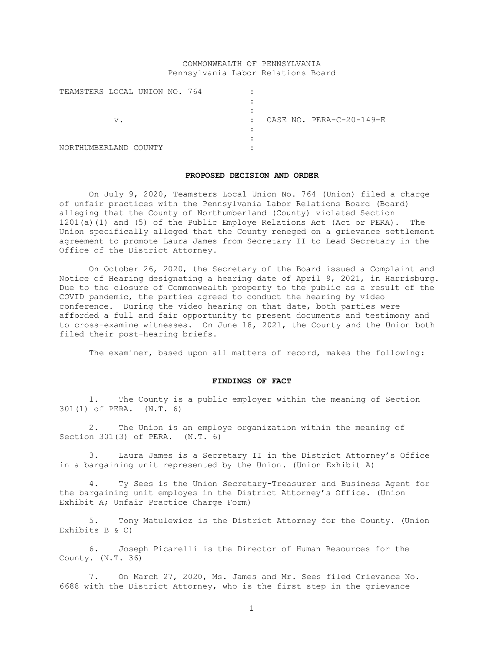# COMMONWEALTH OF PENNSYLVANIA Pennsylvania Labor Relations Board

| TEAMSTERS LOCAL UNION NO. 764 |    |        |  |              |  |                          |
|-------------------------------|----|--------|--|--------------|--|--------------------------|
|                               |    |        |  |              |  |                          |
|                               |    |        |  |              |  |                          |
|                               | v. |        |  | $\mathbf{r}$ |  | CASE NO. PERA-C-20-149-E |
|                               |    |        |  |              |  |                          |
|                               |    |        |  |              |  |                          |
| NORTHUMBERLAND                |    | COUNTY |  |              |  |                          |

### **PROPOSED DECISION AND ORDER**

On July 9, 2020, Teamsters Local Union No. 764 (Union) filed a charge of unfair practices with the Pennsylvania Labor Relations Board (Board) alleging that the County of Northumberland (County) violated Section 1201(a)(1) and (5) of the Public Employe Relations Act (Act or PERA). The Union specifically alleged that the County reneged on a grievance settlement agreement to promote Laura James from Secretary II to Lead Secretary in the Office of the District Attorney.

On October 26, 2020, the Secretary of the Board issued a Complaint and Notice of Hearing designating a hearing date of April 9, 2021, in Harrisburg. Due to the closure of Commonwealth property to the public as a result of the COVID pandemic, the parties agreed to conduct the hearing by video conference. During the video hearing on that date, both parties were afforded a full and fair opportunity to present documents and testimony and to cross-examine witnesses. On June 18, 2021, the County and the Union both filed their post-hearing briefs.

The examiner, based upon all matters of record, makes the following:

# **FINDINGS OF FACT**

1. The County is a public employer within the meaning of Section 301(1) of PERA. (N.T. 6)

2. The Union is an employe organization within the meaning of Section 301(3) of PERA. (N.T. 6)

3. Laura James is a Secretary II in the District Attorney's Office in a bargaining unit represented by the Union. (Union Exhibit A)

4. Ty Sees is the Union Secretary-Treasurer and Business Agent for the bargaining unit employes in the District Attorney's Office. (Union Exhibit A; Unfair Practice Charge Form)

5. Tony Matulewicz is the District Attorney for the County. (Union Exhibits B & C)

6. Joseph Picarelli is the Director of Human Resources for the County. (N.T. 36)

7. On March 27, 2020, Ms. James and Mr. Sees filed Grievance No. 6688 with the District Attorney, who is the first step in the grievance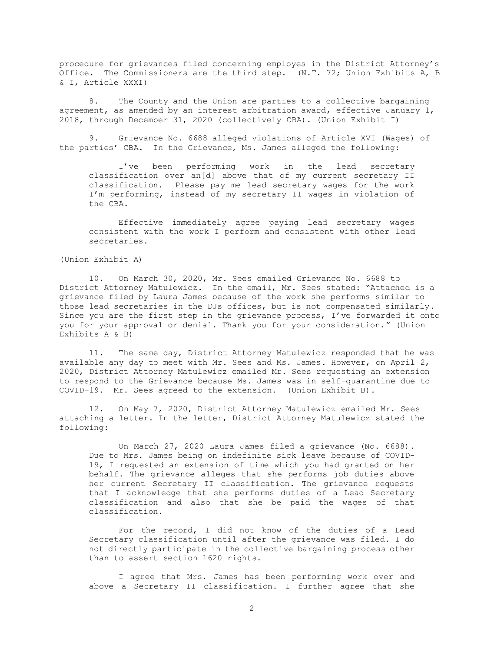procedure for grievances filed concerning employes in the District Attorney's Office. The Commissioners are the third step. (N.T. 72; Union Exhibits A, B & I, Article XXXI)

8. The County and the Union are parties to a collective bargaining agreement, as amended by an interest arbitration award, effective January 1, 2018, through December 31, 2020 (collectively CBA). (Union Exhibit I)

9. Grievance No. 6688 alleged violations of Article XVI (Wages) of the parties' CBA. In the Grievance, Ms. James alleged the following:

I've been performing work in the lead secretary classification over an[d] above that of my current secretary II classification. Please pay me lead secretary wages for the work I'm performing, instead of my secretary II wages in violation of the CBA.

Effective immediately agree paying lead secretary wages consistent with the work I perform and consistent with other lead secretaries.

(Union Exhibit A)

10. On March 30, 2020, Mr. Sees emailed Grievance No. 6688 to District Attorney Matulewicz. In the email, Mr. Sees stated: "Attached is a grievance filed by Laura James because of the work she performs similar to those lead secretaries in the DJs offices, but is not compensated similarly. Since you are the first step in the grievance process, I've forwarded it onto you for your approval or denial. Thank you for your consideration." (Union Exhibits A & B)

11. The same day, District Attorney Matulewicz responded that he was available any day to meet with Mr. Sees and Ms. James. However, on April 2, 2020, District Attorney Matulewicz emailed Mr. Sees requesting an extension to respond to the Grievance because Ms. James was in self-quarantine due to COVID-19. Mr. Sees agreed to the extension. (Union Exhibit B).

12. On May 7, 2020, District Attorney Matulewicz emailed Mr. Sees attaching a letter. In the letter, District Attorney Matulewicz stated the following:

On March 27, 2020 Laura James filed a grievance (No. 6688). Due to Mrs. James being on indefinite sick leave because of COVID-19, I requested an extension of time which you had granted on her behalf. The grievance alleges that she performs job duties above her current Secretary II classification. The grievance requests that I acknowledge that she performs duties of a Lead Secretary classification and also that she be paid the wages of that classification.

For the record, I did not know of the duties of a Lead Secretary classification until after the grievance was filed. I do not directly participate in the collective bargaining process other than to assert section 1620 rights.

I agree that Mrs. James has been performing work over and above a Secretary II classification. I further agree that she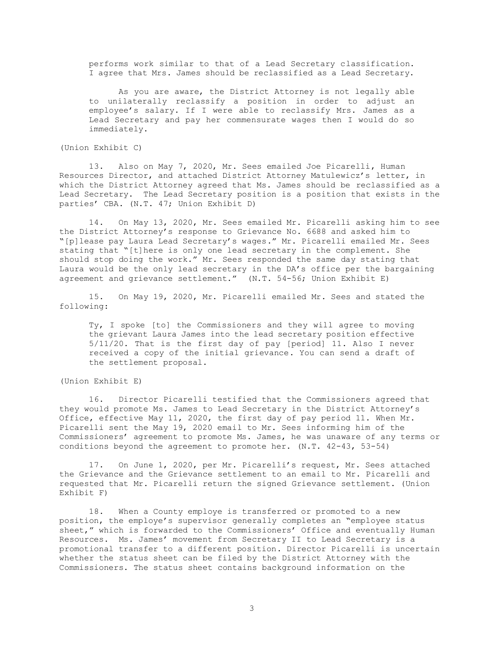performs work similar to that of a Lead Secretary classification. I agree that Mrs. James should be reclassified as a Lead Secretary.

As you are aware, the District Attorney is not legally able to unilaterally reclassify a position in order to adjust an employee's salary. If I were able to reclassify Mrs. James as a Lead Secretary and pay her commensurate wages then I would do so immediately.

(Union Exhibit C)

13. Also on May 7, 2020, Mr. Sees emailed Joe Picarelli, Human Resources Director, and attached District Attorney Matulewicz's letter, in which the District Attorney agreed that Ms. James should be reclassified as a Lead Secretary. The Lead Secretary position is a position that exists in the parties' CBA. (N.T. 47; Union Exhibit D)

14. On May 13, 2020, Mr. Sees emailed Mr. Picarelli asking him to see the District Attorney's response to Grievance No. 6688 and asked him to "[p]lease pay Laura Lead Secretary's wages." Mr. Picarelli emailed Mr. Sees stating that "[t]here is only one lead secretary in the complement. She should stop doing the work." Mr. Sees responded the same day stating that Laura would be the only lead secretary in the DA's office per the bargaining agreement and grievance settlement." (N.T. 54-56; Union Exhibit E)

15. On May 19, 2020, Mr. Picarelli emailed Mr. Sees and stated the following:

Ty, I spoke [to] the Commissioners and they will agree to moving the grievant Laura James into the lead secretary position effective 5/11/20. That is the first day of pay [period] 11. Also I never received a copy of the initial grievance. You can send a draft of the settlement proposal.

(Union Exhibit E)

16. Director Picarelli testified that the Commissioners agreed that they would promote Ms. James to Lead Secretary in the District Attorney's Office, effective May 11, 2020, the first day of pay period 11. When Mr. Picarelli sent the May 19, 2020 email to Mr. Sees informing him of the Commissioners' agreement to promote Ms. James, he was unaware of any terms or conditions beyond the agreement to promote her. (N.T. 42-43, 53-54)

17. On June 1, 2020, per Mr. Picarelli's request, Mr. Sees attached the Grievance and the Grievance settlement to an email to Mr. Picarelli and requested that Mr. Picarelli return the signed Grievance settlement. (Union Exhibit F)

18. When a County employe is transferred or promoted to a new position, the employe's supervisor generally completes an "employee status sheet," which is forwarded to the Commissioners' Office and eventually Human Resources. Ms. James' movement from Secretary II to Lead Secretary is a promotional transfer to a different position. Director Picarelli is uncertain whether the status sheet can be filed by the District Attorney with the Commissioners. The status sheet contains background information on the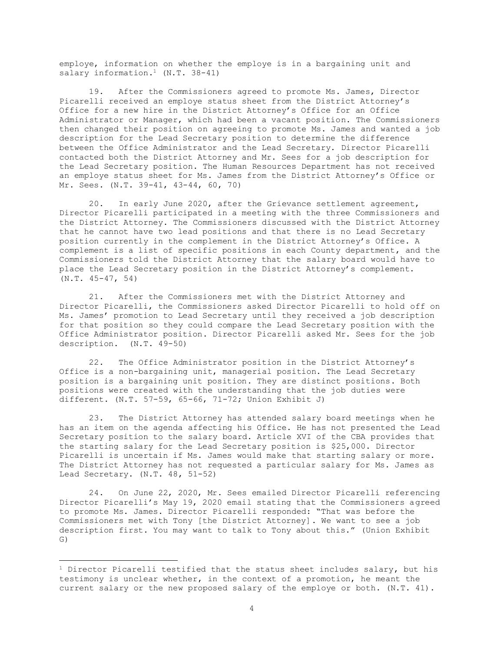employe, information on whether the employe is in a bargaining unit and salary information.<sup>1</sup>  $(N.T. 38-41)$ 

19. After the Commissioners agreed to promote Ms. James, Director Picarelli received an employe status sheet from the District Attorney's Office for a new hire in the District Attorney's Office for an Office Administrator or Manager, which had been a vacant position. The Commissioners then changed their position on agreeing to promote Ms. James and wanted a job description for the Lead Secretary position to determine the difference between the Office Administrator and the Lead Secretary. Director Picarelli contacted both the District Attorney and Mr. Sees for a job description for the Lead Secretary position. The Human Resources Department has not received an employe status sheet for Ms. James from the District Attorney's Office or Mr. Sees. (N.T. 39-41, 43-44, 60, 70)

20. In early June 2020, after the Grievance settlement agreement, Director Picarelli participated in a meeting with the three Commissioners and the District Attorney. The Commissioners discussed with the District Attorney that he cannot have two lead positions and that there is no Lead Secretary position currently in the complement in the District Attorney's Office. A complement is a list of specific positions in each County department, and the Commissioners told the District Attorney that the salary board would have to place the Lead Secretary position in the District Attorney's complement. (N.T. 45-47, 54)

21. After the Commissioners met with the District Attorney and Director Picarelli, the Commissioners asked Director Picarelli to hold off on Ms. James' promotion to Lead Secretary until they received a job description for that position so they could compare the Lead Secretary position with the Office Administrator position. Director Picarelli asked Mr. Sees for the job description. (N.T. 49-50)

22. The Office Administrator position in the District Attorney's Office is a non-bargaining unit, managerial position. The Lead Secretary position is a bargaining unit position. They are distinct positions. Both positions were created with the understanding that the job duties were different. (N.T. 57-59, 65-66, 71-72; Union Exhibit J)

23. The District Attorney has attended salary board meetings when he has an item on the agenda affecting his Office. He has not presented the Lead Secretary position to the salary board. Article XVI of the CBA provides that the starting salary for the Lead Secretary position is \$25,000. Director Picarelli is uncertain if Ms. James would make that starting salary or more. The District Attorney has not requested a particular salary for Ms. James as Lead Secretary. (N.T. 48, 51-52)

24. On June 22, 2020, Mr. Sees emailed Director Picarelli referencing Director Picarelli's May 19, 2020 email stating that the Commissioners agreed to promote Ms. James. Director Picarelli responded: "That was before the Commissioners met with Tony [the District Attorney]. We want to see a job description first. You may want to talk to Tony about this." (Union Exhibit G)

 $1$  Director Picarelli testified that the status sheet includes salary, but his testimony is unclear whether, in the context of a promotion, he meant the current salary or the new proposed salary of the employe or both. (N.T. 41).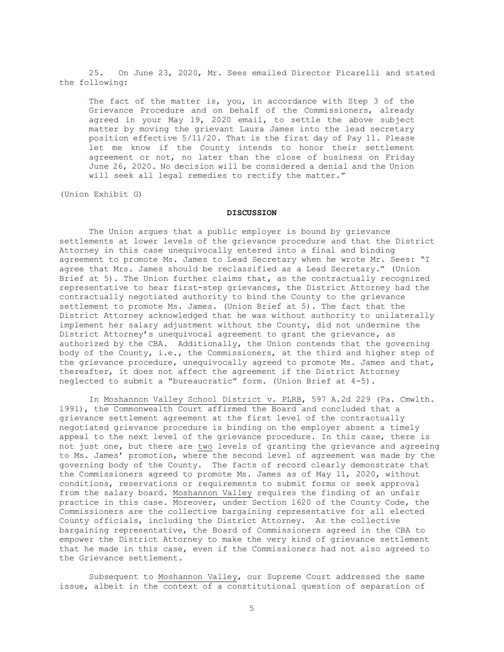25. On June 23, 2020, Mr. Sees emailed Director Picarelli and stated the following:

The fact of the matter is, you, in accordance with Step 3 of the Grievance Procedure and on behalf of the Commissioners, already agreed in your May 19, 2020 email, to settle the above subject matter by moving the grievant Laura James into the lead secretary position effective 5/11/20. That is the first day of Pay 11. Please let me know if the County intends to honor their settlement agreement or not, no later than the close of business on Friday June 26, 2020. No decision will be considered a denial and the Union will seek all legal remedies to rectify the matter."

(Union Exhibit G)

## **DISCUSSION**

The Union argues that a public employer is bound by grievance settlements at lower levels of the grievance procedure and that the District Attorney in this case unequivocally entered into a final and binding agreement to promote Ms. James to Lead Secretary when he wrote Mr. Sees: "I agree that Mrs. James should be reclassified as a Lead Secretary." (Union Brief at 5). The Union further claims that, as the contractually recognized representative to hear first-step grievances, the District Attorney had the contractually negotiated authority to bind the County to the grievance settlement to promote Ms. James. (Union Brief at 5). The fact that the District Attorney acknowledged that he was without authority to unilaterally implement her salary adjustment without the County, did not undermine the District Attorney's unequivocal agreement to grant the grievance, as authorized by the CBA. Additionally, the Union contends that the governing body of the County, i.e., the Commissioners, at the third and higher step of the grievance procedure, unequivocally agreed to promote Ms. James and that, thereafter, it does not affect the agreement if the District Attorney neglected to submit a "bureaucratic" form. (Union Brief at 4-5).

In Moshannon Valley School District v. PLRB, 597 A.2d 229 (Pa. Cmwlth. 1991), the Commonwealth Court affirmed the Board and concluded that a grievance settlement agreement at the first level of the contractually negotiated grievance procedure is binding on the employer absent a timely appeal to the next level of the grievance procedure. In this case, there is not just one, but there are two levels of granting the grievance and agreeing to Ms. James' promotion, where the second level of agreement was made by the governing body of the County. The facts of record clearly demonstrate that the Commissioners agreed to promote Ms. James as of May 11, 2020, without conditions, reservations or requirements to submit forms or seek approval from the salary board. Moshannon Valley requires the finding of an unfair practice in this case. Moreover, under Section 1620 of the County Code, the Commissioners are the collective bargaining representative for all elected County officials, including the District Attorney. As the collective bargaining representative, the Board of Commissioners agreed in the CBA to empower the District Attorney to make the very kind of grievance settlement that he made in this case, even if the Commissioners had not also agreed to the Grievance settlement.

Subsequent to Moshannon Valley, our Supreme Court addressed the same issue, albeit in the context of a constitutional question of separation of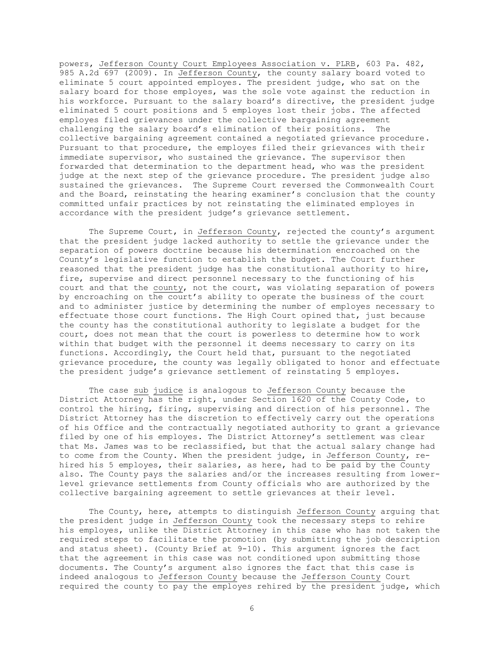powers, Jefferson County Court Employees Association v. PLRB, 603 Pa. 482, 985 A.2d 697 (2009). In Jefferson County, the county salary board voted to eliminate 5 court appointed employes. The president judge, who sat on the salary board for those employes, was the sole vote against the reduction in his workforce. Pursuant to the salary board's directive, the president judge eliminated 5 court positions and 5 employes lost their jobs. The affected employes filed grievances under the collective bargaining agreement challenging the salary board's elimination of their positions. The collective bargaining agreement contained a negotiated grievance procedure. Pursuant to that procedure, the employes filed their grievances with their immediate supervisor, who sustained the grievance. The supervisor then forwarded that determination to the department head, who was the president judge at the next step of the grievance procedure. The president judge also sustained the grievances. The Supreme Court reversed the Commonwealth Court and the Board, reinstating the hearing examiner's conclusion that the county committed unfair practices by not reinstating the eliminated employes in accordance with the president judge's grievance settlement.

The Supreme Court, in Jefferson County, rejected the county's argument that the president judge lacked authority to settle the grievance under the separation of powers doctrine because his determination encroached on the County's legislative function to establish the budget. The Court further reasoned that the president judge has the constitutional authority to hire, fire, supervise and direct personnel necessary to the functioning of his court and that the county, not the court, was violating separation of powers by encroaching on the court's ability to operate the business of the court and to administer justice by determining the number of employes necessary to effectuate those court functions. The High Court opined that, just because the county has the constitutional authority to legislate a budget for the court, does not mean that the court is powerless to determine how to work within that budget with the personnel it deems necessary to carry on its functions. Accordingly, the Court held that, pursuant to the negotiated grievance procedure, the county was legally obligated to honor and effectuate the president judge's grievance settlement of reinstating 5 employes.

The case sub judice is analogous to Jefferson County because the District Attorney has the right, under Section 1620 of the County Code, to control the hiring, firing, supervising and direction of his personnel. The District Attorney has the discretion to effectively carry out the operations of his Office and the contractually negotiated authority to grant a grievance filed by one of his employes. The District Attorney's settlement was clear that Ms. James was to be reclassified, but that the actual salary change had to come from the County. When the president judge, in Jefferson County, rehired his 5 employes, their salaries, as here, had to be paid by the County also. The County pays the salaries and/or the increases resulting from lowerlevel grievance settlements from County officials who are authorized by the collective bargaining agreement to settle grievances at their level.

The County, here, attempts to distinguish Jefferson County arguing that the president judge in Jefferson County took the necessary steps to rehire his employes, unlike the District Attorney in this case who has not taken the required steps to facilitate the promotion (by submitting the job description and status sheet). (County Brief at 9-10). This argument ignores the fact that the agreement in this case was not conditioned upon submitting those documents. The County's argument also ignores the fact that this case is indeed analogous to Jefferson County because the Jefferson County Court required the county to pay the employes rehired by the president judge, which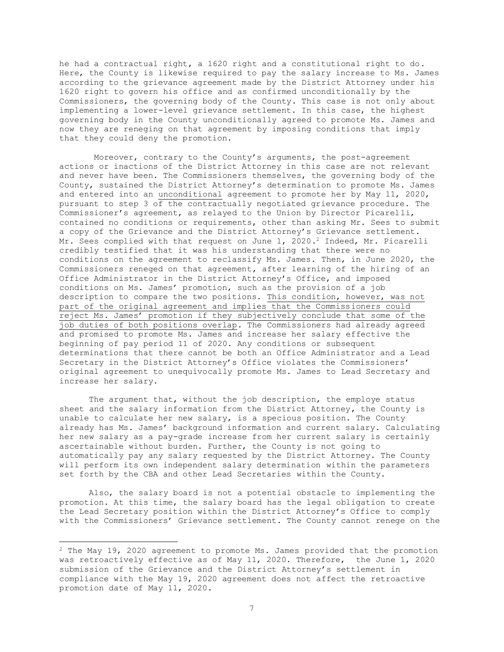he had a contractual right, a 1620 right and a constitutional right to do. Here, the County is likewise required to pay the salary increase to Ms. James according to the grievance agreement made by the District Attorney under his 1620 right to govern his office and as confirmed unconditionally by the Commissioners, the governing body of the County. This case is not only about implementing a lower-level grievance settlement. In this case, the highest governing body in the County unconditionally agreed to promote Ms. James and now they are reneging on that agreement by imposing conditions that imply that they could deny the promotion.

Moreover, contrary to the County's arguments, the post-agreement actions or inactions of the District Attorney in this case are not relevant and never have been. The Commissioners themselves, the governing body of the County, sustained the District Attorney's determination to promote Ms. James and entered into an unconditional agreement to promote her by May 11, 2020, pursuant to step 3 of the contractually negotiated grievance procedure. The Commissioner's agreement, as relayed to the Union by Director Picarelli, contained no conditions or requirements, other than asking Mr. Sees to submit a copy of the Grievance and the District Attorney's Grievance settlement. Mr. Sees complied with that request on June 1, 2020.<sup>2</sup> Indeed, Mr. Picarelli credibly testified that it was his understanding that there were no conditions on the agreement to reclassify Ms. James. Then, in June 2020, the Commissioners reneged on that agreement, after learning of the hiring of an Office Administrator in the District Attorney's Office, and imposed conditions on Ms. James' promotion, such as the provision of a job description to compare the two positions. This condition, however, was not part of the original agreement and implies that the Commissioners could reject Ms. James' promotion if they subjectively conclude that some of the job duties of both positions overlap. The Commissioners had already agreed and promised to promote Ms. James and increase her salary effective the beginning of pay period 11 of 2020. Any conditions or subsequent determinations that there cannot be both an Office Administrator and a Lead Secretary in the District Attorney's Office violates the Commissioners' original agreement to unequivocally promote Ms. James to Lead Secretary and increase her salary.

The argument that, without the job description, the employe status sheet and the salary information from the District Attorney, the County is unable to calculate her new salary, is a specious position. The County already has Ms. James' background information and current salary. Calculating her new salary as a pay-grade increase from her current salary is certainly ascertainable without burden. Further, the County is not going to automatically pay any salary requested by the District Attorney. The County will perform its own independent salary determination within the parameters set forth by the CBA and other Lead Secretaries within the County.

Also, the salary board is not a potential obstacle to implementing the promotion. At this time, the salary board has the legal obligation to create the Lead Secretary position within the District Attorney's Office to comply with the Commissioners' Grievance settlement. The County cannot renege on the

<sup>2</sup> The May 19, 2020 agreement to promote Ms. James provided that the promotion was retroactively effective as of May 11, 2020. Therefore, the June 1, 2020 submission of the Grievance and the District Attorney's settlement in compliance with the May 19, 2020 agreement does not affect the retroactive promotion date of May 11, 2020.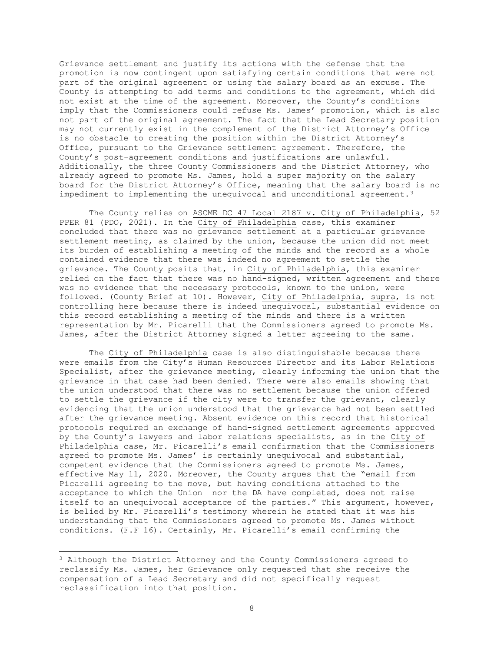Grievance settlement and justify its actions with the defense that the promotion is now contingent upon satisfying certain conditions that were not part of the original agreement or using the salary board as an excuse. The County is attempting to add terms and conditions to the agreement, which did not exist at the time of the agreement. Moreover, the County's conditions imply that the Commissioners could refuse Ms. James' promotion, which is also not part of the original agreement. The fact that the Lead Secretary position may not currently exist in the complement of the District Attorney's Office is no obstacle to creating the position within the District Attorney's Office, pursuant to the Grievance settlement agreement. Therefore, the County's post-agreement conditions and justifications are unlawful. Additionally, the three County Commissioners and the District Attorney, who already agreed to promote Ms. James, hold a super majority on the salary board for the District Attorney's Office, meaning that the salary board is no impediment to implementing the unequivocal and unconditional agreement.<sup>3</sup>

The County relies on ASCME DC 47 Local 2187 v. City of Philadelphia, 52 PPER 81 (PDO, 2021). In the City of Philadelphia case, this examiner concluded that there was no grievance settlement at a particular grievance settlement meeting, as claimed by the union, because the union did not meet its burden of establishing a meeting of the minds and the record as a whole contained evidence that there was indeed no agreement to settle the grievance. The County posits that, in City of Philadelphia, this examiner relied on the fact that there was no hand-signed, written agreement and there was no evidence that the necessary protocols, known to the union, were followed. (County Brief at 10). However, City of Philadelphia, supra, is not controlling here because there is indeed unequivocal, substantial evidence on this record establishing a meeting of the minds and there is a written representation by Mr. Picarelli that the Commissioners agreed to promote Ms. James, after the District Attorney signed a letter agreeing to the same.

The City of Philadelphia case is also distinguishable because there were emails from the City's Human Resources Director and its Labor Relations Specialist, after the grievance meeting, clearly informing the union that the grievance in that case had been denied. There were also emails showing that the union understood that there was no settlement because the union offered to settle the grievance if the city were to transfer the grievant, clearly evidencing that the union understood that the grievance had not been settled after the grievance meeting. Absent evidence on this record that historical protocols required an exchange of hand-signed settlement agreements approved by the County's lawyers and labor relations specialists, as in the City of Philadelphia case, Mr. Picarelli's email confirmation that the Commissioners agreed to promote Ms. James' is certainly unequivocal and substantial, competent evidence that the Commissioners agreed to promote Ms. James, effective May 11, 2020. Moreover, the County argues that the "email from Picarelli agreeing to the move, but having conditions attached to the acceptance to which the Union nor the DA have completed, does not raise itself to an unequivocal acceptance of the parties." This argument, however, is belied by Mr. Picarelli's testimony wherein he stated that it was his understanding that the Commissioners agreed to promote Ms. James without conditions. (F.F 16). Certainly, Mr. Picarelli's email confirming the

<sup>3</sup> Although the District Attorney and the County Commissioners agreed to reclassify Ms. James, her Grievance only requested that she receive the compensation of a Lead Secretary and did not specifically request reclassification into that position.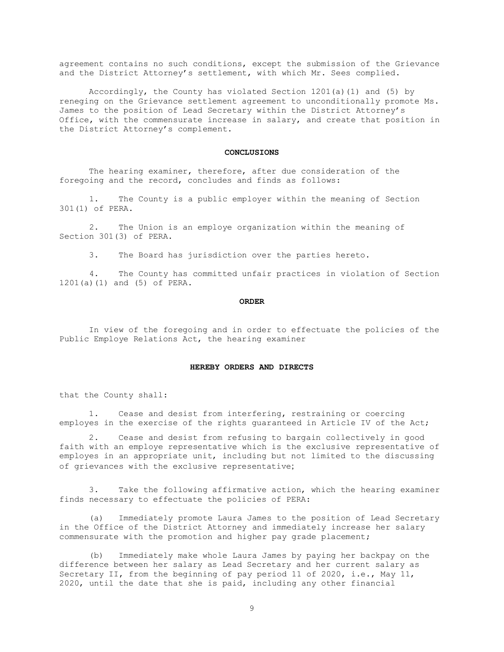agreement contains no such conditions, except the submission of the Grievance and the District Attorney's settlement, with which Mr. Sees complied.

Accordingly, the County has violated Section 1201(a)(1) and (5) by reneging on the Grievance settlement agreement to unconditionally promote Ms. James to the position of Lead Secretary within the District Attorney's Office, with the commensurate increase in salary, and create that position in the District Attorney's complement.

### **CONCLUSIONS**

The hearing examiner, therefore, after due consideration of the foregoing and the record, concludes and finds as follows:

 1. The County is a public employer within the meaning of Section 301(1) of PERA.

 2. The Union is an employe organization within the meaning of Section 301(3) of PERA.

3. The Board has jurisdiction over the parties hereto.

 4. The County has committed unfair practices in violation of Section 1201(a)(1) and (5) of PERA.

#### **ORDER**

In view of the foregoing and in order to effectuate the policies of the Public Employe Relations Act, the hearing examiner

### **HEREBY ORDERS AND DIRECTS**

that the County shall:

1. Cease and desist from interfering, restraining or coercing employes in the exercise of the rights guaranteed in Article IV of the Act;

2. Cease and desist from refusing to bargain collectively in good faith with an employe representative which is the exclusive representative of employes in an appropriate unit, including but not limited to the discussing of grievances with the exclusive representative;

3. Take the following affirmative action, which the hearing examiner finds necessary to effectuate the policies of PERA:

(a) Immediately promote Laura James to the position of Lead Secretary in the Office of the District Attorney and immediately increase her salary commensurate with the promotion and higher pay grade placement;

(b) Immediately make whole Laura James by paying her backpay on the difference between her salary as Lead Secretary and her current salary as Secretary II, from the beginning of pay period 11 of 2020, i.e., May 11, 2020, until the date that she is paid, including any other financial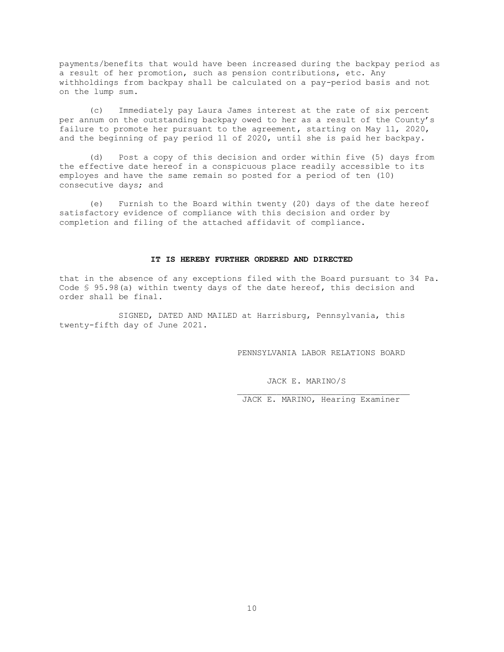payments/benefits that would have been increased during the backpay period as a result of her promotion, such as pension contributions, etc. Any withholdings from backpay shall be calculated on a pay-period basis and not on the lump sum.

(c) Immediately pay Laura James interest at the rate of six percent per annum on the outstanding backpay owed to her as a result of the County's failure to promote her pursuant to the agreement, starting on May 11, 2020, and the beginning of pay period 11 of 2020, until she is paid her backpay.

(d) Post a copy of this decision and order within five (5) days from the effective date hereof in a conspicuous place readily accessible to its employes and have the same remain so posted for a period of ten (10) consecutive days; and

(e) Furnish to the Board within twenty (20) days of the date hereof satisfactory evidence of compliance with this decision and order by completion and filing of the attached affidavit of compliance.

## **IT IS HEREBY FURTHER ORDERED AND DIRECTED**

that in the absence of any exceptions filed with the Board pursuant to 34 Pa. Code § 95.98(a) within twenty days of the date hereof, this decision and order shall be final.

SIGNED, DATED AND MAILED at Harrisburg, Pennsylvania, this twenty-fifth day of June 2021.

PENNSYLVANIA LABOR RELATIONS BOARD

JACK E. MARINO/S

JACK E. MARINO, Hearing Examiner